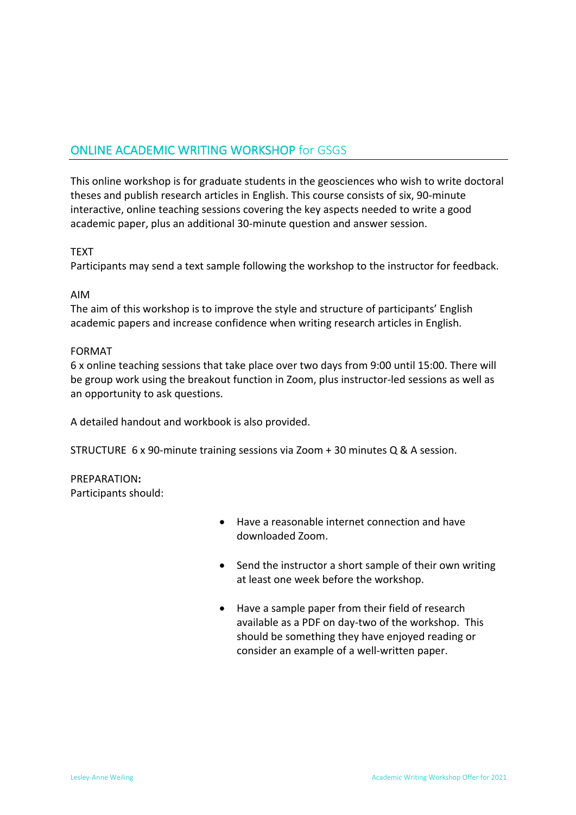## ONLINE ACADEMIC WRITING WORKSHOP for GSGS

This online workshop is for graduate students in the geosciences who wish to write doctoral theses and publish research articles in English. This course consists of six, 90-minute interactive, online teaching sessions covering the key aspects needed to write a good academic paper, plus an additional 30-minute question and answer session.

#### **TFXT**

Participants may send a text sample following the workshop to the instructor for feedback.

#### AIM

The aim of this workshop is to improve the style and structure of participants' English academic papers and increase confidence when writing research articles in English.

#### FORMAT

6 x online teaching sessions that take place over two days from 9:00 until 15:00. There will be group work using the breakout function in Zoom, plus instructor-led sessions as well as an opportunity to ask questions.

A detailed handout and workbook is also provided.

STRUCTURE 6 x 90-minute training sessions via Zoom + 30 minutes Q & A session.

PREPARATION**:** Participants should:

- Have a reasonable internet connection and have downloaded Zoom.
- Send the instructor a short sample of their own writing at least one week before the workshop.
- Have a sample paper from their field of research available as a PDF on day-two of the workshop. This should be something they have enjoyed reading or consider an example of a well-written paper.